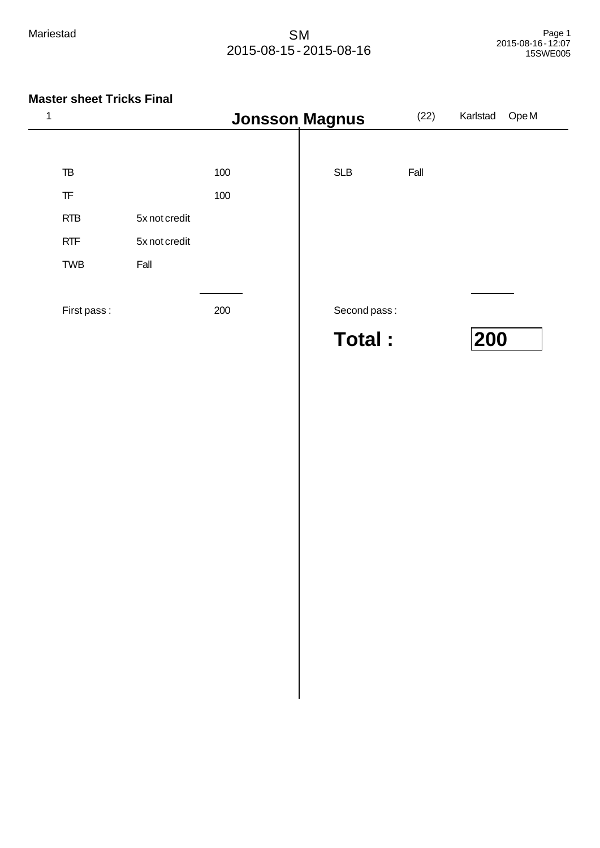| 1 |             |               | <b>Jonsson Magnus</b> |               |      | Karlstad | Ope <sub>M</sub> |
|---|-------------|---------------|-----------------------|---------------|------|----------|------------------|
|   |             |               |                       |               |      |          |                  |
|   | TB          |               | 100                   | <b>SLB</b>    | Fall |          |                  |
|   | TF          |               | 100                   |               |      |          |                  |
|   | <b>RTB</b>  | 5x not credit |                       |               |      |          |                  |
|   | <b>RTF</b>  | 5x not credit |                       |               |      |          |                  |
|   | <b>TWB</b>  | Fall          |                       |               |      |          |                  |
|   |             |               |                       |               |      |          |                  |
|   | First pass: |               | 200                   | Second pass:  |      |          |                  |
|   |             |               |                       | <b>Total:</b> |      | 200      |                  |
|   |             |               |                       |               |      |          |                  |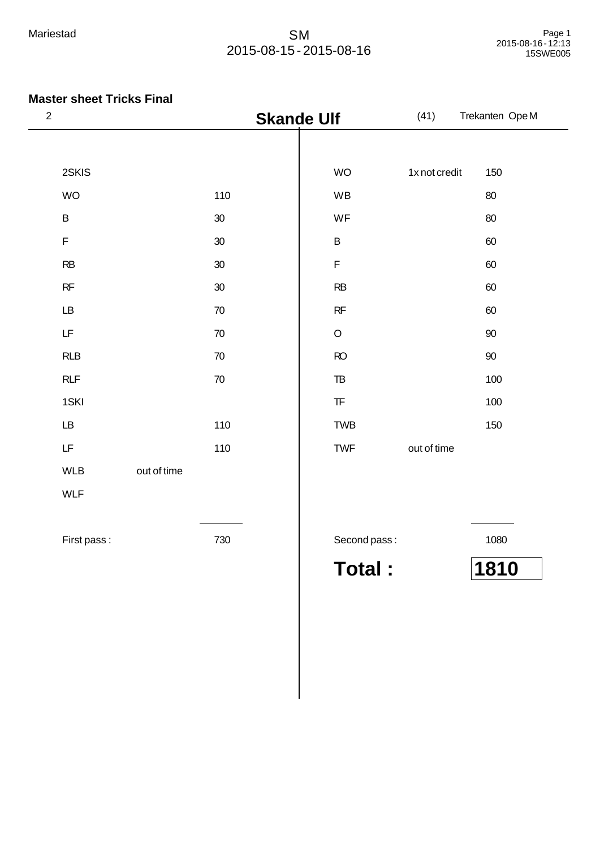| $\sqrt{2}$ |                                                                                             |             |        | <b>Skande Ulf</b> |                                                  | Trekanten OpeM |        |  |
|------------|---------------------------------------------------------------------------------------------|-------------|--------|-------------------|--------------------------------------------------|----------------|--------|--|
|            |                                                                                             |             |        |                   |                                                  |                |        |  |
|            | 2SKIS                                                                                       |             |        |                   | <b>WO</b>                                        | 1x not credit  | 150    |  |
|            | <b>WO</b>                                                                                   |             | 110    |                   | WB                                               |                | 80     |  |
|            | $\sf B$                                                                                     |             | 30     |                   | WF                                               |                | 80     |  |
|            | F                                                                                           |             | 30     |                   | $\sf B$                                          |                | 60     |  |
|            | RB                                                                                          |             | 30     |                   | $\mathsf F$                                      |                | 60     |  |
|            | RF                                                                                          |             | 30     |                   | RB                                               |                | 60     |  |
|            | LB                                                                                          |             | 70     |                   | RF                                               |                | 60     |  |
|            | LF                                                                                          |             | 70     |                   | $\circ$                                          |                | 90     |  |
|            | RLB                                                                                         |             | $70\,$ |                   | RO                                               |                | $90\,$ |  |
|            | RLF                                                                                         |             | $70\,$ |                   | T <sub>B</sub>                                   |                | 100    |  |
|            | 1SKI                                                                                        |             |        |                   | $\ensuremath{\mathsf{T}}\ensuremath{\mathsf{F}}$ |                | 100    |  |
|            | LB                                                                                          |             | 110    |                   | <b>TWB</b>                                       |                | 150    |  |
|            | $\mathsf{LF}% _{0}\left( \mathcal{N}\right) \equiv\mathsf{LF}_{0}\left( \mathcal{N}\right)$ |             | 110    |                   | <b>TWF</b>                                       | out of time    |        |  |
|            | <b>WLB</b>                                                                                  | out of time |        |                   |                                                  |                |        |  |
|            | <b>WLF</b>                                                                                  |             |        |                   |                                                  |                |        |  |
|            |                                                                                             |             |        |                   |                                                  |                |        |  |
|            | First pass:                                                                                 |             | 730    |                   | Second pass:                                     |                | 1080   |  |
|            |                                                                                             |             |        |                   | <b>Total:</b>                                    |                | 1810   |  |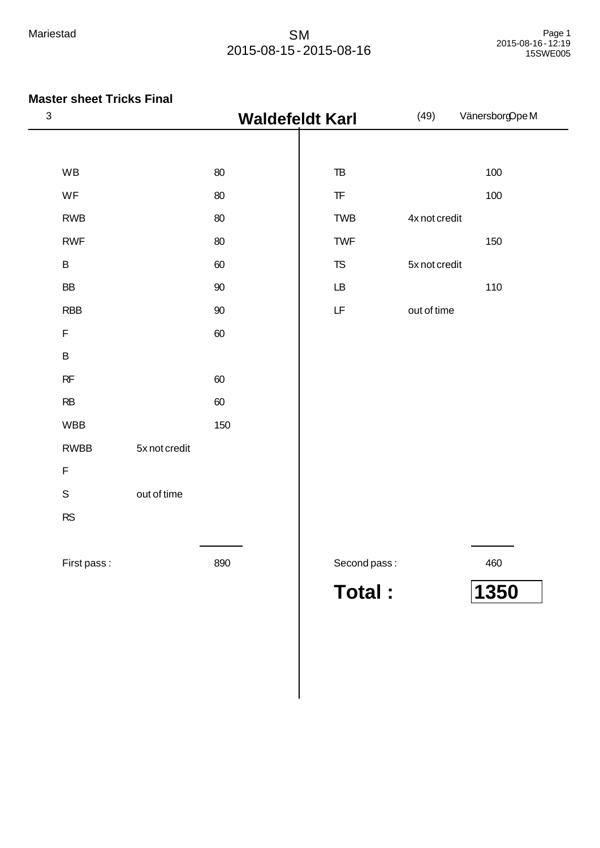| $\ensuremath{\mathsf{3}}$ | <b>Waldefeldt Karl</b> |        |                                                                                             | (49)          |      |  |
|---------------------------|------------------------|--------|---------------------------------------------------------------------------------------------|---------------|------|--|
|                           |                        |        |                                                                                             |               |      |  |
| <b>WB</b>                 |                        | 80     | ${\tt TB}$                                                                                  |               | 100  |  |
| WF                        |                        | 80     | $\ensuremath{\mathsf{T}}\ensuremath{\mathsf{F}}$                                            |               | 100  |  |
| <b>RWB</b>                |                        | 80     | <b>TWB</b>                                                                                  | 4x not credit |      |  |
| <b>RWF</b>                |                        | 80     | <b>TWF</b>                                                                                  |               | 150  |  |
| $\sf B$                   |                        | 60     | ${\tt TS}$                                                                                  | 5x not credit |      |  |
| BB                        |                        | 90     | $\mathsf{L}\mathsf{B}$                                                                      |               | 110  |  |
| <b>RBB</b>                |                        | $90\,$ | $\mathsf{LF}% _{0}\left( \mathcal{N}\right) \equiv\mathsf{LF}_{0}\left( \mathcal{N}\right)$ | out of time   |      |  |
| $\mathsf F$               |                        | 60     |                                                                                             |               |      |  |
| $\sf B$                   |                        |        |                                                                                             |               |      |  |
| RF                        |                        | 60     |                                                                                             |               |      |  |
| RB                        |                        | 60     |                                                                                             |               |      |  |
| <b>WBB</b>                |                        | 150    |                                                                                             |               |      |  |
| <b>RWBB</b>               | 5x not credit          |        |                                                                                             |               |      |  |
| F                         |                        |        |                                                                                             |               |      |  |
| $\mathsf S$               | out of time            |        |                                                                                             |               |      |  |
| RS                        |                        |        |                                                                                             |               |      |  |
|                           |                        |        |                                                                                             |               |      |  |
| First pass:               |                        | 890    | Second pass:                                                                                |               | 460  |  |
|                           |                        |        | <b>Total:</b>                                                                               |               | 1350 |  |
|                           |                        |        |                                                                                             |               |      |  |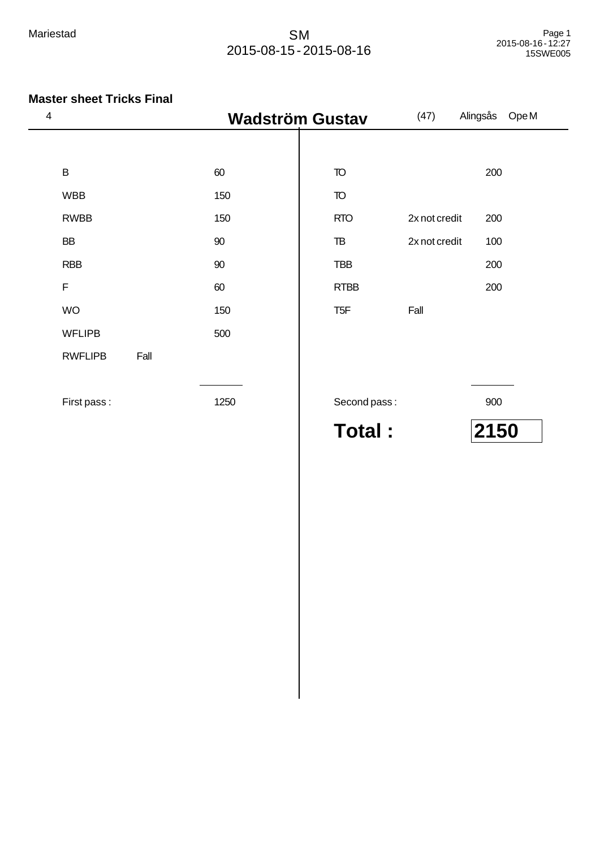| $\overline{\mathbf{4}}$ |                |      | <b>Wadström Gustav</b> |                 | (47)          | Ope M<br>Alingsås |
|-------------------------|----------------|------|------------------------|-----------------|---------------|-------------------|
|                         |                |      |                        |                 |               |                   |
|                         | $\mathsf B$    |      | 60                     | TO              |               | 200               |
|                         | <b>WBB</b>     |      | 150                    | <b>TO</b>       |               |                   |
|                         | <b>RWBB</b>    |      | 150                    | <b>RTO</b>      | 2x not credit | 200               |
|                         | <b>BB</b>      |      | 90                     | TB              | 2x not credit | 100               |
|                         | <b>RBB</b>     |      | $90\,$                 | <b>TBB</b>      |               | 200               |
|                         | $\mathsf F$    |      | 60                     | <b>RTBB</b>     |               | 200               |
|                         | <b>WO</b>      |      | 150                    | T <sub>5F</sub> | Fall          |                   |
|                         | <b>WFLIPB</b>  |      | 500                    |                 |               |                   |
|                         | <b>RWFLIPB</b> | Fall |                        |                 |               |                   |
|                         |                |      |                        |                 |               |                   |
|                         | First pass:    |      | 1250                   | Second pass:    |               | 900               |
|                         |                |      |                        | <b>Total:</b>   |               | 2150              |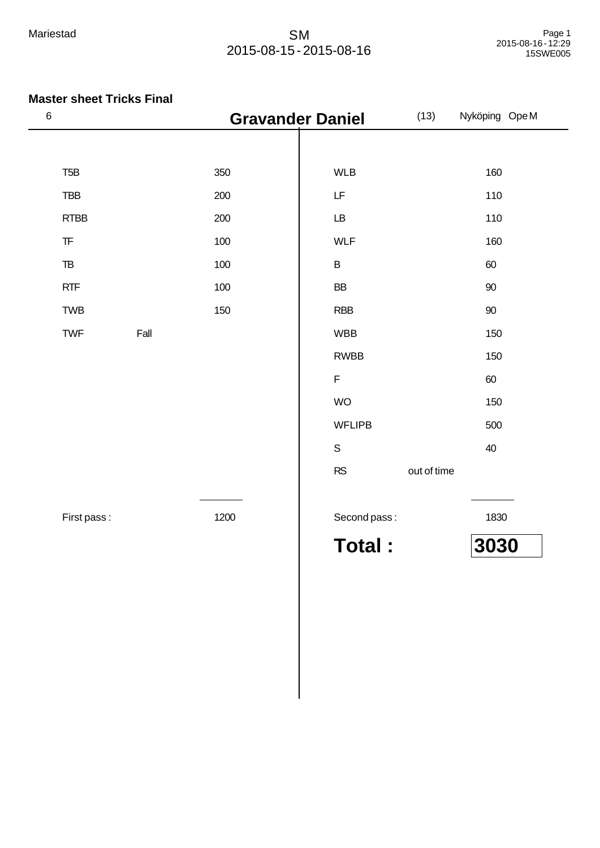| $\,$ 6 $\,$                                      | <b>Gravander Daniel</b> |                        | (13)<br>Nyköping OpeM |
|--------------------------------------------------|-------------------------|------------------------|-----------------------|
|                                                  |                         |                        |                       |
| T <sub>5</sub> B                                 | 350                     | <b>WLB</b>             | 160                   |
| <b>TBB</b>                                       | 200                     | LF                     | 110                   |
| RTBB                                             | 200                     | $\mathsf{L}\mathsf{B}$ | 110                   |
| $\ensuremath{\mathsf{T}}\ensuremath{\mathsf{F}}$ | 100                     | <b>WLF</b>             | 160                   |
| $\ensuremath{\mathsf{T}}\ensuremath{\mathsf{B}}$ | 100                     | $\sf B$                | 60                    |
| RTF                                              | 100                     | BB                     | 90                    |
| TWB                                              | 150                     | <b>RBB</b>             | $90\,$                |
| TWF                                              | Fall                    | <b>WBB</b>             | 150                   |
|                                                  |                         | <b>RWBB</b>            | 150                   |
|                                                  |                         | $\mathsf F$            | 60                    |
|                                                  |                         | <b>WO</b>              | 150                   |
|                                                  |                         | <b>WFLIPB</b>          | 500                   |
|                                                  |                         | $\mathsf S$            | 40                    |
|                                                  |                         | RS                     | out of time           |
|                                                  |                         |                        |                       |
| First pass:                                      | 1200                    | Second pass:           | 1830                  |
|                                                  |                         | <b>Total:</b>          | 3030                  |
|                                                  |                         |                        |                       |
|                                                  |                         |                        |                       |
|                                                  |                         |                        |                       |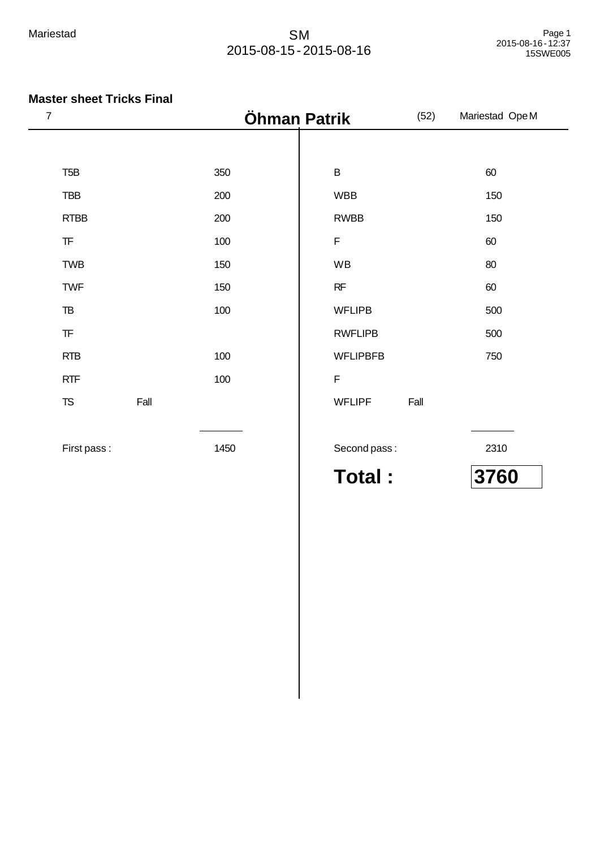### **Master sheet Tricks Final**

| $\overline{7}$ |                                                  |      |      | Öhman Patrik    |      | Mariestad Ope M                      |
|----------------|--------------------------------------------------|------|------|-----------------|------|--------------------------------------|
|                |                                                  |      |      |                 |      |                                      |
|                | T <sub>5</sub> B                                 |      | 350  | $\sf B$         |      | 60                                   |
|                | <b>TBB</b>                                       |      | 200  | <b>WBB</b>      |      | 150                                  |
|                | <b>RTBB</b>                                      |      | 200  | <b>RWBB</b>     |      | 150                                  |
|                | $\ensuremath{\mathsf{T}}\ensuremath{\mathsf{F}}$ |      | 100  | $\mathsf F$     |      | 60                                   |
|                | <b>TWB</b>                                       |      | 150  | WB              |      | 80                                   |
|                | <b>TWF</b>                                       |      | 150  | RF              |      | 60                                   |
|                | ${\tt TB}$                                       |      | 100  | <b>WFLIPB</b>   |      | 500                                  |
|                | $\ensuremath{\mathsf{T}}\ensuremath{\mathsf{F}}$ |      |      | <b>RWFLIPB</b>  |      | 500                                  |
|                | <b>RTB</b>                                       |      | 100  | <b>WFLIPBFB</b> |      | 750                                  |
|                | RTF                                              |      | 100  | $\mathsf F$     |      |                                      |
|                | $T\!S$                                           | Fall |      | <b>WFLIPF</b>   | Fall |                                      |
|                |                                                  |      |      |                 |      |                                      |
|                | First pass:                                      |      | 1450 | Second pass:    |      | 2310                                 |
|                |                                                  |      |      | --<br>.         |      | $\mathbf{A} = \mathbf{A} \mathbf{A}$ |

**Total : 3760**

 $\overline{\phantom{a}}$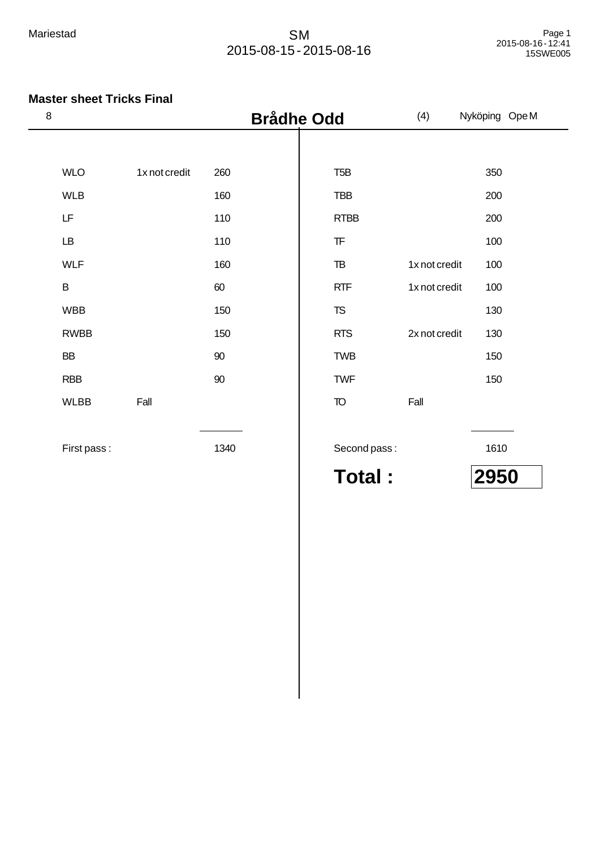### **Master sheet Tricks Final**

| $\boldsymbol{8}$ | <b>Brådhe Odd</b> |      |  | (4)                                              | Nyköping Ope M |      |
|------------------|-------------------|------|--|--------------------------------------------------|----------------|------|
|                  |                   |      |  |                                                  |                |      |
| <b>WLO</b>       | 1x not credit     | 260  |  | T <sub>5</sub> B                                 |                | 350  |
| <b>WLB</b>       |                   | 160  |  | TBB                                              |                | 200  |
| LF               |                   | 110  |  | <b>RTBB</b>                                      |                | 200  |
| <b>LB</b>        |                   | 110  |  | $\ensuremath{\mathsf{T}}\ensuremath{\mathsf{F}}$ |                | 100  |
| <b>WLF</b>       |                   | 160  |  | $\mathsf{T}\mathsf{B}$                           | 1x not credit  | 100  |
| B                |                   | 60   |  | <b>RTF</b>                                       | 1x not credit  | 100  |
| <b>WBB</b>       |                   | 150  |  | <b>TS</b>                                        |                | 130  |
| <b>RWBB</b>      |                   | 150  |  | <b>RTS</b>                                       | 2x not credit  | 130  |
| BB               |                   | 90   |  | <b>TWB</b>                                       |                | 150  |
| <b>RBB</b>       |                   | 90   |  | <b>TWF</b>                                       |                | 150  |
| <b>WLBB</b>      | Fall              |      |  | <b>TO</b>                                        | Fall           |      |
|                  |                   |      |  |                                                  |                |      |
| First pass:      |                   | 1340 |  | Second pass:                                     |                | 1610 |

**Total : 2950**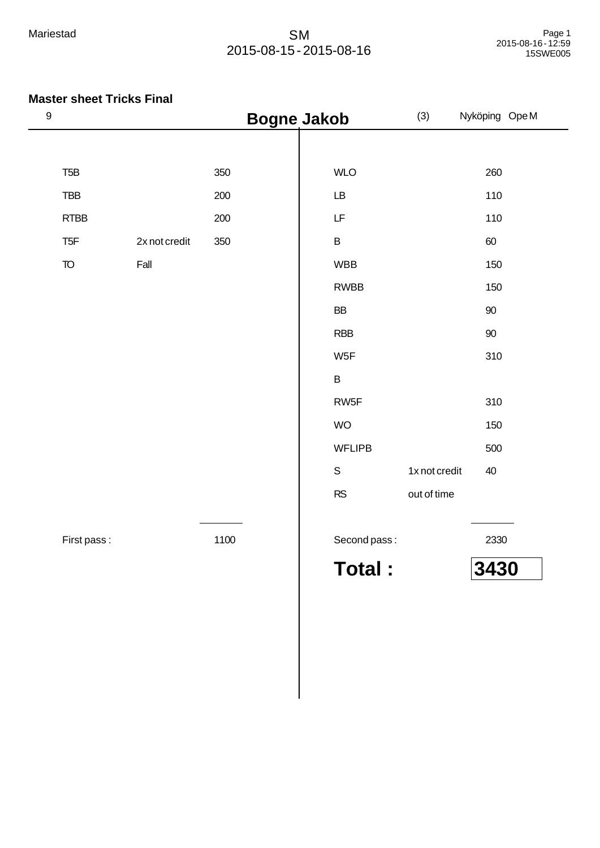| 9                      |               |      | <b>Bogne Jakob</b> | (3)           | Nyköping OpeM |
|------------------------|---------------|------|--------------------|---------------|---------------|
|                        |               |      |                    |               |               |
| T <sub>5</sub> B       |               | 350  | <b>WLO</b>         |               | 260           |
| <b>TBB</b>             |               | 200  | LB                 |               | 110           |
| <b>RTBB</b>            |               | 200  | LF                 |               | 110           |
| T <sub>5F</sub>        | 2x not credit | 350  | B                  |               | 60            |
| $\mathsf T\!\mathsf O$ | Fall          |      | <b>WBB</b>         |               | 150           |
|                        |               |      | <b>RWBB</b>        |               | 150           |
|                        |               |      | ${\sf BB}$         |               | 90            |
|                        |               |      | <b>RBB</b>         |               | $90\,$        |
|                        |               |      | W <sub>5F</sub>    |               | 310           |
|                        |               |      | B                  |               |               |
|                        |               |      | RW <sub>5</sub> F  |               | 310           |
|                        |               |      | <b>WO</b>          |               | 150           |
|                        |               |      | <b>WFLIPB</b>      |               | 500           |
|                        |               |      | $\mathsf S$        | 1x not credit | 40            |
|                        |               |      | ${\sf RS}$         | out of time   |               |
| First pass:            |               | 1100 | Second pass:       |               | 2330          |
|                        |               |      | <b>Total:</b>      |               | 3430          |
|                        |               |      |                    |               |               |